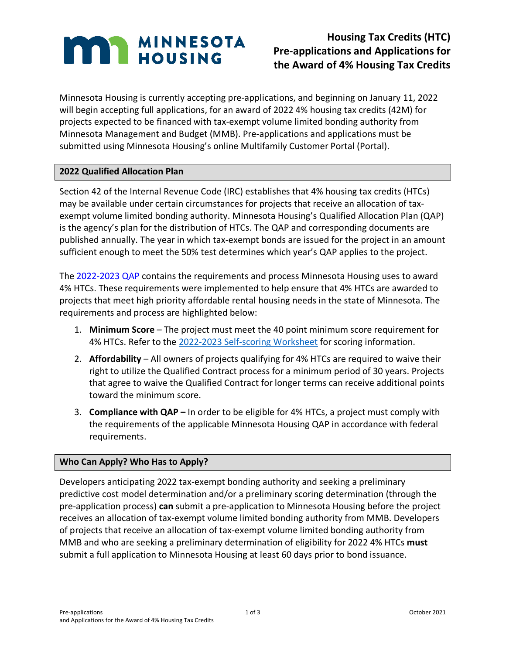# **MAN MINNESOTA**

# **Housing Tax Credits (HTC) Pre-applications and Applications for the Award of 4% Housing Tax Credits**

Minnesota Housing is currently accepting pre-applications, and beginning on January 11, 2022 will begin accepting full applications, for an award of 2022 4% housing tax credits (42M) for projects expected to be financed with tax-exempt volume limited bonding authority from Minnesota Management and Budget (MMB). Pre-applications and applications must be submitted using Minnesota Housing's online Multifamily Customer Portal (Portal).

## **2022 Qualified Allocation Plan**

Section 42 of the Internal Revenue Code (IRC) establishes that 4% housing tax credits (HTCs) may be available under certain circumstances for projects that receive an allocation of taxexempt volume limited bonding authority. Minnesota Housing's Qualified Allocation Plan (QAP) is the agency's plan for the distribution of HTCs. The QAP and corresponding documents are published annually. The year in which tax-exempt bonds are issued for the project in an amount sufficient enough to meet the 50% test determines which year's QAP applies to the project.

The [2022-2023 QAP](https://www.mnhousing.gov/get/MHFA_238915) contains the requirements and process Minnesota Housing uses to award 4% HTCs. These requirements were implemented to help ensure that 4% HTCs are awarded to projects that meet high priority affordable rental housing needs in the state of Minnesota. The requirements and process are highlighted below:

- 1. **Minimum Score** The project must meet the 40 point minimum score requirement for 4% HTCs. Refer to the [2022-2023 Self-scoring Worksheet](https://www.mnhousing.gov/get/MHFA_238916) for scoring information.
- 2. **Affordability** All owners of projects qualifying for 4% HTCs are required to waive their right to utilize the Qualified Contract process for a minimum period of 30 years. Projects that agree to waive the Qualified Contract for longer terms can receive additional points toward the minimum score.
- 3. **Compliance with QAP –** In order to be eligible for 4% HTCs, a project must comply with the requirements of the applicable Minnesota Housing QAP in accordance with federal requirements.

### **Who Can Apply? Who Has to Apply?**

Developers anticipating 2022 tax-exempt bonding authority and seeking a preliminary predictive cost model determination and/or a preliminary scoring determination (through the pre-application process) **can** submit a pre-application to Minnesota Housing before the project receives an allocation of tax-exempt volume limited bonding authority from MMB. Developers of projects that receive an allocation of tax-exempt volume limited bonding authority from MMB and who are seeking a preliminary determination of eligibility for 2022 4% HTCs **must** submit a full application to Minnesota Housing at least 60 days prior to bond issuance.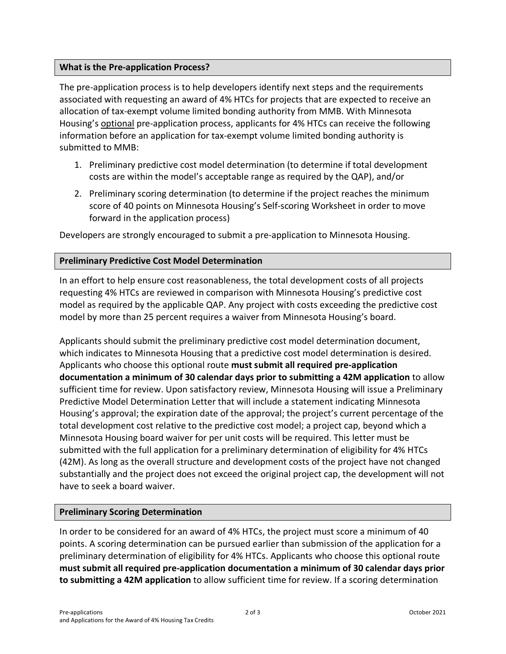#### **What is the Pre-application Process?**

The pre-application process is to help developers identify next steps and the requirements associated with requesting an award of 4% HTCs for projects that are expected to receive an allocation of tax-exempt volume limited bonding authority from MMB. With Minnesota Housing's optional pre-application process, applicants for 4% HTCs can receive the following information before an application for tax-exempt volume limited bonding authority is submitted to MMB:

- 1. Preliminary predictive cost model determination (to determine if total development costs are within the model's acceptable range as required by the QAP), and/or
- 2. Preliminary scoring determination (to determine if the project reaches the minimum score of 40 points on Minnesota Housing's Self-scoring Worksheet in order to move forward in the application process)

Developers are strongly encouraged to submit a pre-application to Minnesota Housing.

#### **Preliminary Predictive Cost Model Determination**

In an effort to help ensure cost reasonableness, the total development costs of all projects requesting 4% HTCs are reviewed in comparison with Minnesota Housing's predictive cost model as required by the applicable QAP. Any project with costs exceeding the predictive cost model by more than 25 percent requires a waiver from Minnesota Housing's board.

Applicants should submit the preliminary predictive cost model determination document, which indicates to Minnesota Housing that a predictive cost model determination is desired. Applicants who choose this optional route **must submit all required pre-application documentation a minimum of 30 calendar days prior to submitting a 42M application** to allow sufficient time for review. Upon satisfactory review, Minnesota Housing will issue a Preliminary Predictive Model Determination Letter that will include a statement indicating Minnesota Housing's approval; the expiration date of the approval; the project's current percentage of the total development cost relative to the predictive cost model; a project cap, beyond which a Minnesota Housing board waiver for per unit costs will be required. This letter must be submitted with the full application for a preliminary determination of eligibility for 4% HTCs (42M). As long as the overall structure and development costs of the project have not changed substantially and the project does not exceed the original project cap, the development will not have to seek a board waiver.

#### **Preliminary Scoring Determination**

In order to be considered for an award of 4% HTCs, the project must score a minimum of 40 points. A scoring determination can be pursued earlier than submission of the application for a preliminary determination of eligibility for 4% HTCs. Applicants who choose this optional route **must submit all required pre-application documentation a minimum of 30 calendar days prior to submitting a 42M application** to allow sufficient time for review. If a scoring determination